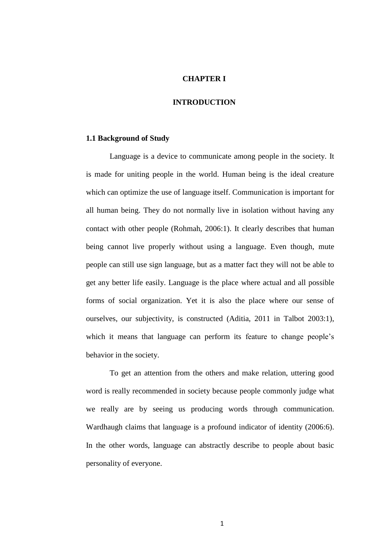# **CHAPTER I**

# **INTRODUCTION**

### **1.1 Background of Study**

Language is a device to communicate among people in the society. It is made for uniting people in the world. Human being is the ideal creature which can optimize the use of language itself. Communication is important for all human being. They do not normally live in isolation without having any contact with other people (Rohmah, 2006:1). It clearly describes that human being cannot live properly without using a language. Even though, mute people can still use sign language, but as a matter fact they will not be able to get any better life easily. Language is the place where actual and all possible forms of social organization. Yet it is also the place where our sense of ourselves, our subjectivity, is constructed (Aditia, 2011 in Talbot 2003:1), which it means that language can perform its feature to change people's behavior in the society.

To get an attention from the others and make relation, uttering good word is really recommended in society because people commonly judge what we really are by seeing us producing words through communication. Wardhaugh claims that language is a profound indicator of identity (2006:6). In the other words, language can abstractly describe to people about basic personality of everyone.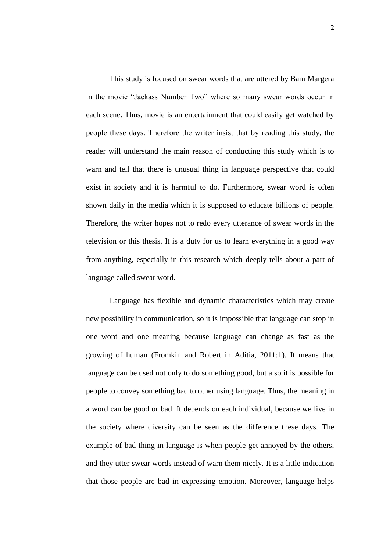This study is focused on swear words that are uttered by Bam Margera in the movie "Jackass Number Two" where so many swear words occur in each scene. Thus, movie is an entertainment that could easily get watched by people these days. Therefore the writer insist that by reading this study, the reader will understand the main reason of conducting this study which is to warn and tell that there is unusual thing in language perspective that could exist in society and it is harmful to do. Furthermore, swear word is often shown daily in the media which it is supposed to educate billions of people. Therefore, the writer hopes not to redo every utterance of swear words in the television or this thesis. It is a duty for us to learn everything in a good way from anything, especially in this research which deeply tells about a part of language called swear word.

Language has flexible and dynamic characteristics which may create new possibility in communication, so it is impossible that language can stop in one word and one meaning because language can change as fast as the growing of human (Fromkin and Robert in Aditia, 2011:1). It means that language can be used not only to do something good, but also it is possible for people to convey something bad to other using language. Thus, the meaning in a word can be good or bad. It depends on each individual, because we live in the society where diversity can be seen as the difference these days. The example of bad thing in language is when people get annoyed by the others, and they utter swear words instead of warn them nicely. It is a little indication that those people are bad in expressing emotion. Moreover, language helps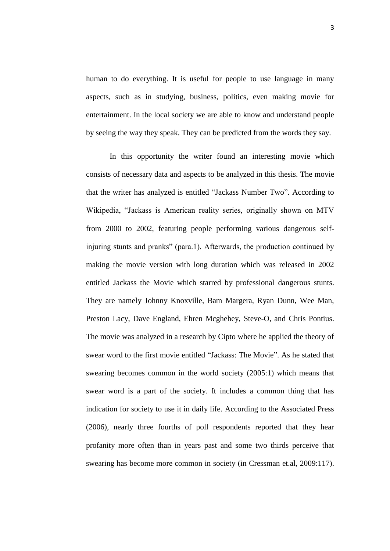human to do everything. It is useful for people to use language in many aspects, such as in studying, business, politics, even making movie for entertainment. In the local society we are able to know and understand people by seeing the way they speak. They can be predicted from the words they say.

In this opportunity the writer found an interesting movie which consists of necessary data and aspects to be analyzed in this thesis. The movie that the writer has analyzed is entitled "Jackass Number Two". According to Wikipedia, "Jackass is American reality series, originally shown on MTV from 2000 to 2002, featuring people performing various dangerous selfinjuring stunts and pranks" (para.1). Afterwards, the production continued by making the movie version with long duration which was released in 2002 entitled Jackass the Movie which starred by professional dangerous stunts. They are namely Johnny Knoxville, Bam Margera, Ryan Dunn, Wee Man, Preston Lacy, Dave England, Ehren Mcghehey, Steve-O, and Chris Pontius. The movie was analyzed in a research by Cipto where he applied the theory of swear word to the first movie entitled "Jackass: The Movie". As he stated that swearing becomes common in the world society (2005:1) which means that swear word is a part of the society. It includes a common thing that has indication for society to use it in daily life. According to the Associated Press (2006), nearly three fourths of poll respondents reported that they hear profanity more often than in years past and some two thirds perceive that swearing has become more common in society (in Cressman et.al, 2009:117).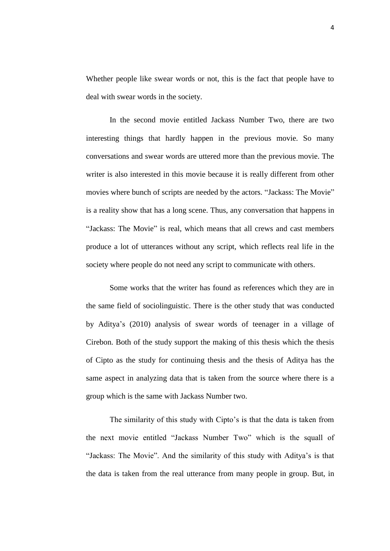Whether people like swear words or not, this is the fact that people have to deal with swear words in the society.

In the second movie entitled Jackass Number Two, there are two interesting things that hardly happen in the previous movie. So many conversations and swear words are uttered more than the previous movie. The writer is also interested in this movie because it is really different from other movies where bunch of scripts are needed by the actors. "Jackass: The Movie" is a reality show that has a long scene. Thus, any conversation that happens in "Jackass: The Movie" is real, which means that all crews and cast members produce a lot of utterances without any script, which reflects real life in the society where people do not need any script to communicate with others.

Some works that the writer has found as references which they are in the same field of sociolinguistic. There is the other study that was conducted by Aditya's (2010) analysis of swear words of teenager in a village of Cirebon. Both of the study support the making of this thesis which the thesis of Cipto as the study for continuing thesis and the thesis of Aditya has the same aspect in analyzing data that is taken from the source where there is a group which is the same with Jackass Number two.

The similarity of this study with Cipto's is that the data is taken from the next movie entitled "Jackass Number Two" which is the squall of "Jackass: The Movie". And the similarity of this study with Aditya's is that the data is taken from the real utterance from many people in group. But, in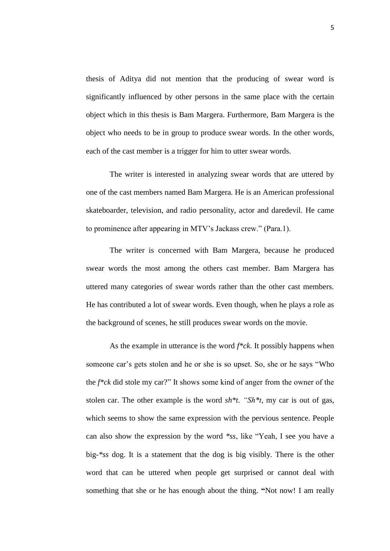thesis of Aditya did not mention that the producing of swear word is significantly influenced by other persons in the same place with the certain object which in this thesis is Bam Margera. Furthermore, Bam Margera is the object who needs to be in group to produce swear words. In the other words, each of the cast member is a trigger for him to utter swear words.

The writer is interested in analyzing swear words that are uttered by one of the cast members named Bam Margera. He is an American professional skateboarder, television, and radio personality, actor and daredevil. He came to prominence after appearing in MTV's Jackass crew." (Para.1).

The writer is concerned with Bam Margera, because he produced swear words the most among the others cast member. Bam Margera has uttered many categories of swear words rather than the other cast members. He has contributed a lot of swear words. Even though, when he plays a role as the background of scenes, he still produces swear words on the movie.

As the example in utterance is the word *f\*ck*. It possibly happens when someone car's gets stolen and he or she is so upset. So, she or he says "Who the *f\*ck* did stole my car?" It shows some kind of anger from the owner of the stolen car. The other example is the word *sh\*t*. *"Sh\*t*, my car is out of gas, which seems to show the same expression with the pervious sentence. People can also show the expression by the word *\*ss*, like "Yeah, I see you have a big-*\*ss* dog. It is a statement that the dog is big visibly. There is the other word that can be uttered when people get surprised or cannot deal with something that she or he has enough about the thing. **"**Not now! I am really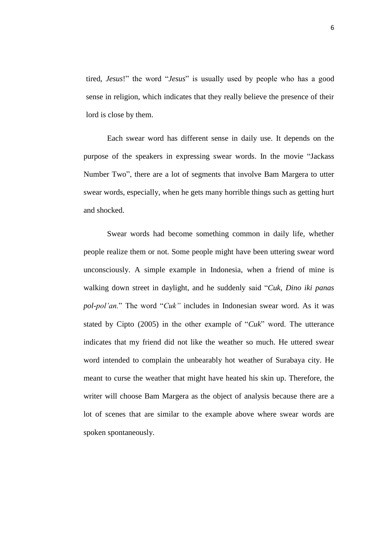tired, *Jesus*!" the word "*Jesus*" is usually used by people who has a good sense in religion, which indicates that they really believe the presence of their lord is close by them.

Each swear word has different sense in daily use. It depends on the purpose of the speakers in expressing swear words. In the movie "Jackass Number Two", there are a lot of segments that involve Bam Margera to utter swear words, especially, when he gets many horrible things such as getting hurt and shocked.

Swear words had become something common in daily life, whether people realize them or not. Some people might have been uttering swear word unconsciously. A simple example in Indonesia, when a friend of mine is walking down street in daylight, and he suddenly said "*Cuk, Dino iki panas pol-pol'an.*" The word "*Cuk"* includes in Indonesian swear word. As it was stated by Cipto (2005) in the other example of "*Cuk*" word. The utterance indicates that my friend did not like the weather so much. He uttered swear word intended to complain the unbearably hot weather of Surabaya city. He meant to curse the weather that might have heated his skin up. Therefore, the writer will choose Bam Margera as the object of analysis because there are a lot of scenes that are similar to the example above where swear words are spoken spontaneously.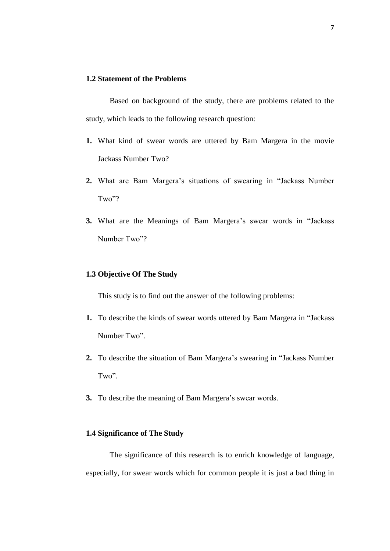# **1.2 Statement of the Problems**

Based on background of the study, there are problems related to the study, which leads to the following research question:

- **1.** What kind of swear words are uttered by Bam Margera in the movie Jackass Number Two?
- **2.** What are Bam Margera's situations of swearing in "Jackass Number Two"?
- **3.** What are the Meanings of Bam Margera's swear words in "Jackass Number Two"?

## **1.3 Objective Of The Study**

This study is to find out the answer of the following problems:

- **1.** To describe the kinds of swear words uttered by Bam Margera in "Jackass Number Two".
- **2.** To describe the situation of Bam Margera's swearing in "Jackass Number Two".
- **3.** To describe the meaning of Bam Margera's swear words.

# **1.4 Significance of The Study**

The significance of this research is to enrich knowledge of language, especially, for swear words which for common people it is just a bad thing in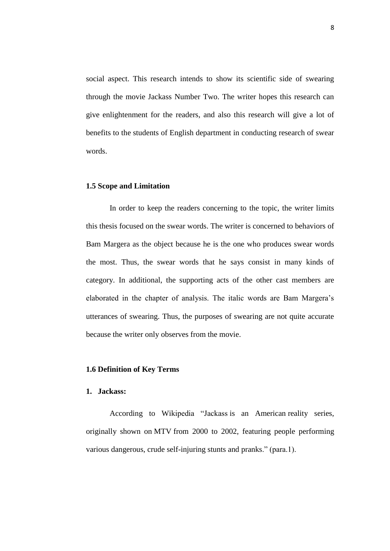social aspect. This research intends to show its scientific side of swearing through the movie Jackass Number Two. The writer hopes this research can give enlightenment for the readers, and also this research will give a lot of benefits to the students of English department in conducting research of swear words.

#### **1.5 Scope and Limitation**

In order to keep the readers concerning to the topic, the writer limits this thesis focused on the swear words. The writer is concerned to behaviors of Bam Margera as the object because he is the one who produces swear words the most. Thus, the swear words that he says consist in many kinds of category. In additional, the supporting acts of the other cast members are elaborated in the chapter of analysis. The italic words are Bam Margera's utterances of swearing. Thus, the purposes of swearing are not quite accurate because the writer only observes from the movie.

#### **1.6 Definition of Key Terms**

#### **1. Jackass:**

According to Wikipedia "Jackass is an American [reality series,](http://en.wikipedia.org/wiki/Reality_television) originally shown on [MTV](http://en.wikipedia.org/wiki/MTV) from 2000 to 2002, featuring people performing various dangerous, crude self-injuring [stunts](http://en.wikipedia.org/wiki/Stunt) and [pranks.](http://en.wikipedia.org/wiki/Prank)" (para.1).